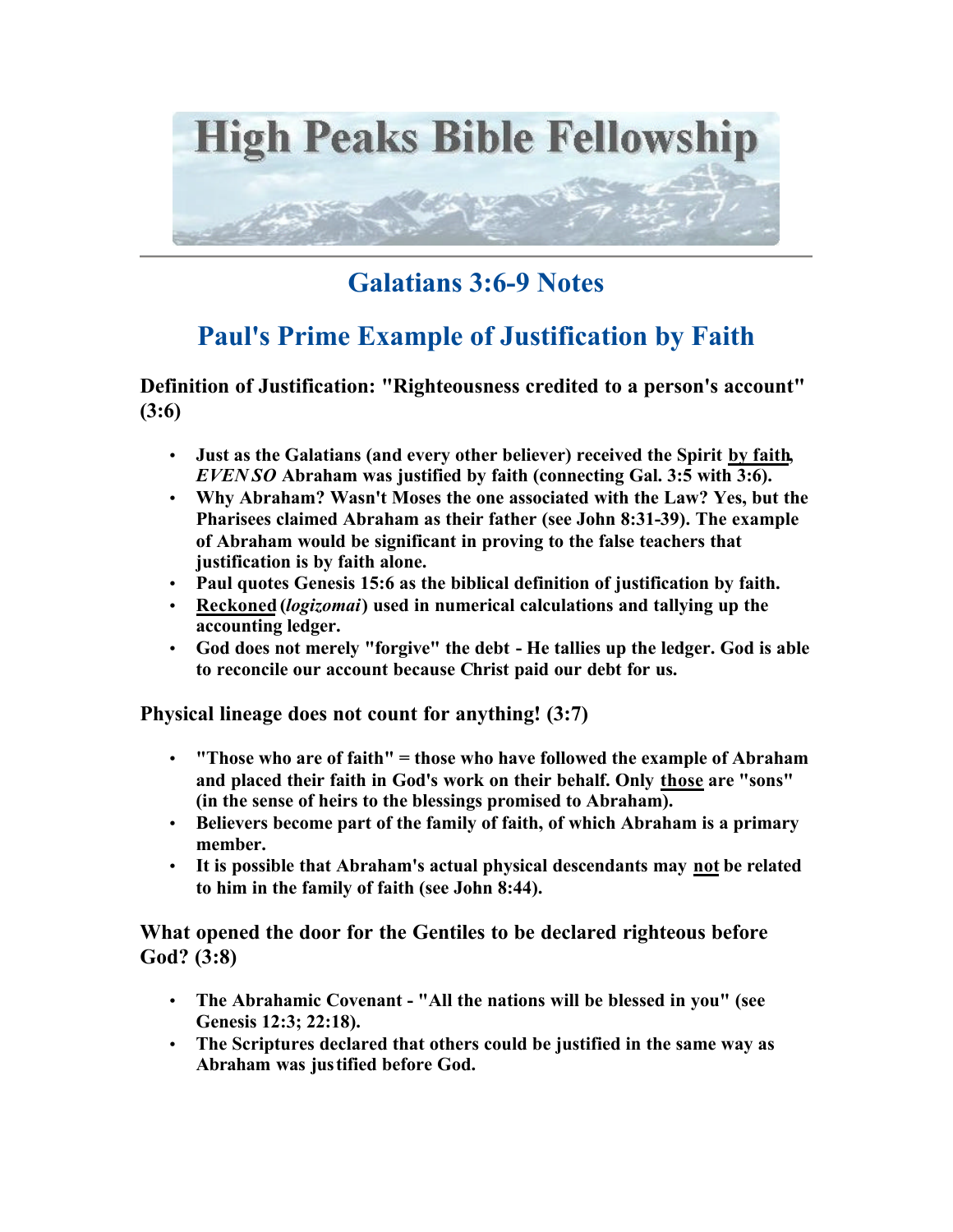

## **Galatians 3:6-9 Notes**

## **Paul's Prime Example of Justification by Faith**

**Definition of Justification: "Righteousness credited to a person's account" (3:6)**

- **Just as the Galatians (and every other believer) received the Spirit by faith,**  *EVEN SO* **Abraham was justified by faith (connecting Gal. 3:5 with 3:6).**
- **Why Abraham? Wasn't Moses the one associated with the Law? Yes, but the Pharisees claimed Abraham as their father (see John 8:31-39). The example of Abraham would be significant in proving to the false teachers that justification is by faith alone.**
- **Paul quotes Genesis 15:6 as the biblical definition of justification by faith.**
- **Reckoned (***logizomai***) used in numerical calculations and tallying up the accounting ledger.**
- **God does not merely "forgive" the debt He tallies up the ledger. God is able to reconcile our account because Christ paid our debt for us.**

**Physical lineage does not count for anything! (3:7)**

- **"Those who are of faith" = those who have followed the example of Abraham and placed their faith in God's work on their behalf. Only those are "sons" (in the sense of heirs to the blessings promised to Abraham).**
- **Believers become part of the family of faith, of which Abraham is a primary member.**
- **It is possible that Abraham's actual physical descendants may not be related to him in the family of faith (see John 8:44).**

**What opened the door for the Gentiles to be declared righteous before God? (3:8)**

- **The Abrahamic Covenant "All the nations will be blessed in you" (see Genesis 12:3; 22:18).**
- **The Scriptures declared that others could be justified in the same way as Abraham was justified before God.**